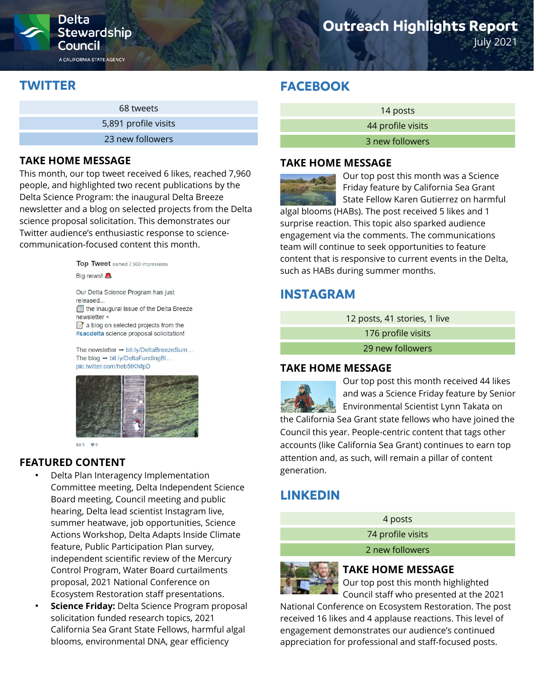

A CALIFORNIA STATE AGENCY

# **Outreach Highlights Report**

July 2021

## **TWITTER**

| 68 tweets            |
|----------------------|
| 5,891 profile visits |
| 23 new followers     |

### **TAKE HOME MESSAGE**

This month, our top tweet received 6 likes, reached 7,960 people, and highlighted two recent publications by the Delta Science Program: the inaugural Delta Breeze newsletter and a blog on selected projects from the Delta science proposal solicitation. This demonstrates our Twitter audience's enthusiastic response to sciencecommunication-focused content this month.



Our Delta Science Program has just heased the inaugural issue of the Delta Breeze newsletter +  $\mathbb{Z}$  a blog on selected projects from the #sacdelta science proposal solicitation!

The newsletter  $\rightarrow$  bit.ly/DeltaBreezeSum... The blog  $\rightarrow$  bit.ly/DeltaFundingBl... pic.twitter.com/heb5tKNfpD



 $135 - 96$ 

### **FEATURED CONTENT**

- Delta Plan Interagency Implementation Committee meeting, Delta Independent Science Board meeting, Council meeting and public hearing, Delta lead scientist Instagram live, summer heatwave, job opportunities, Science Actions Workshop, Delta Adapts Inside Climate feature, Public Participation Plan survey, independent scientific review of the Mercury Control Program, Water Board curtailments proposal, 2021 National Conference on Ecosystem Restoration staff presentations.
- **Science Friday:** Delta Science Program proposal solicitation funded research topics, 2021 California Sea Grant State Fellows, harmful algal blooms, environmental DNA, gear efficiency

# **FACEBOOK**

14 posts 44 profile visits 3 new followers

### **TAKE HOME MESSAGE**



Our top post this month was a Science Friday feature by California Sea Grant State Fellow Karen Gutierrez on harmful

algal blooms (HABs). The post received 5 likes and 1 surprise reaction. This topic also sparked audience engagement via the comments. The communications team will continue to seek opportunities to feature content that is responsive to current events in the Delta, such as HABs during summer months.

### **INSTAGRAM**

12 posts, 41 stories, 1 live

176 profile visits

29 new followers

### **TAKE HOME MESSAGE**



Our top post this month received 44 likes and was a Science Friday feature by Senior Environmental Scientist Lynn Takata on

the California Sea Grant state fellows who have joined the Council this year. People-centric content that tags other accounts (like California Sea Grant) continues to earn top attention and, as such, will remain a pillar of content generation.

## **LINKEDIN**

4 posts 74 profile visits

2 new followers



### **TAKE HOME MESSAGE**

Our top post this month highlighted Council staff who presented at the 2021

National Conference on Ecosystem Restoration. The post received 16 likes and 4 applause reactions. This level of engagement demonstrates our audience's continued appreciation for professional and staff-focused posts.